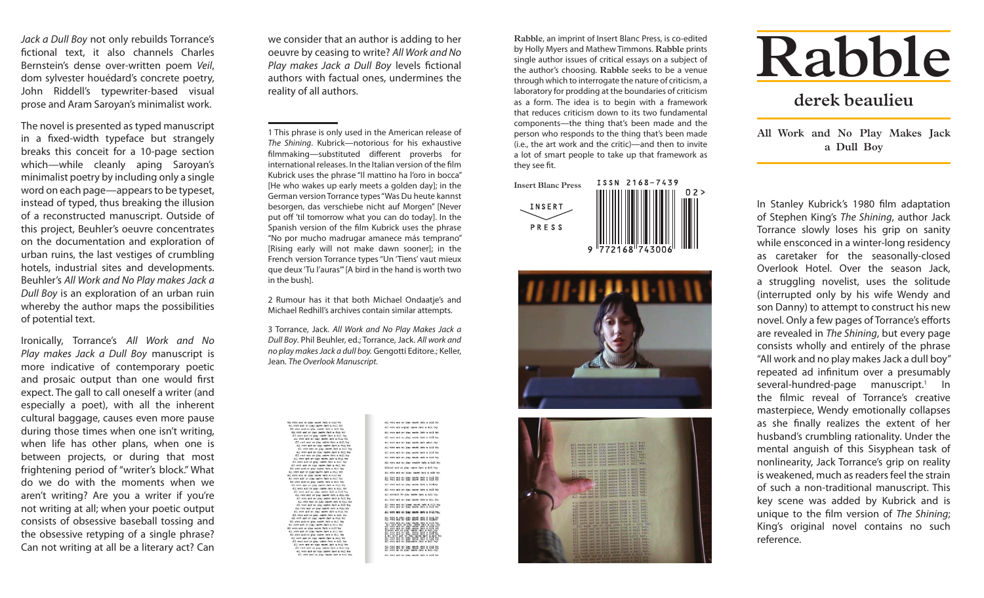*Jack a Dull Boy* not only rebuilds Torrance's fictional text, it also channels Charles Bernstein's dense over-written poem *Veil*, dom sylvester houédard's concrete poetry, John Riddell's typewriter-based visual prose and Aram Saroyan's minimalist work.

The novel is presented as typed manuscript in a fixed-width typeface but strangely breaks this conceit for a 10-page section which—while cleanly aping Saroyan's minimalist poetry by including only a single word on each page—appears to be typeset, instead of typed, thus breaking the illusion of a reconstructed manuscript. Outside of this project, Beuhler's oeuvre concentrates on the documentation and exploration of urban ruins, the last vestiges of crumbling hotels, industrial sites and developments. Beuhler's *All Work and No Play makes Jack a Dull Boy* is an exploration of an urban ruin whereby the author maps the possibilities of potential text.

Ironically, Torrance's *All Work and No Play makes Jack a Dull Boy* manuscript is more indicative of contemporary poetic and prosaic output than one would first expect. The gall to call oneself a writer (and especially a poet), with all the inherent cultural baggage, causes even more pause during those times when one isn't writing, when life has other plans, when one is between projects, or during that most frightening period of "writer's block." What do we do with the moments when we aren't writing? Are you a writer if you're not writing at all; when your poetic output consists of obsessive baseball tossing and the obsessive retyping of a single phrase? Can not writing at all be a literary act? Can

we consider that an author is adding to her oeuvre by ceasing to write? *All Work and No Play makes Jack a Dull Boy* levels fictional authors with factual ones, undermines the reality of all authors.

1 This phrase is only used in the American release of *The Shining*. Kubrick—notorious for his exhaustive filmmaking—substituted different proverbs for international releases. In the Italian version of the film Kubrick uses the phrase "Il mattino ha l'oro in bocca" [He who wakes up early meets a golden day]; in the German version Torrance types "Was Du heute kannst besorgen, das verschiebe nicht auf Morgen" [Never put off 'til tomorrow what you can do today]. In the Spanish version of the film Kubrick uses the phrase "No por mucho madrugar amanece más temprano" [Rising early will not make dawn sooner]; in the French version Torrance types "Un 'Tiens' vaut mieux que deux 'Tu l'auras'" [A bird in the hand is worth two in the bush].

2 Rumour has it that both Michael Ondaatje's and Michael Redhill's archives contain similar attempts.

3 Torrance, Jack. *All Work and No Play Makes Jack a Dull Boy*. Phil Beuhler, ed.; Torrance, Jack. *All work and no play makes Jack a dull boy.* Gengotti Editore.; Keller, Jean. *The Overlook Manuscript.*

> All your and an year maker lack a suit b All work and signay males Jack a dull by All vors and so year same Mos a suit to All work and an play ratios fact a dull be \$33 with and an view reales dark select be-All view and all play mater lasts a still be  $k$  in the state and  $\alpha$  and  $\alpha$  and  $\alpha$  and  $\alpha$ All ones and an ying manes race a still be All vork and an play meaker Jack a dull be Attacc's and on play calons Jack a doll big All voirs and an pliny mass Jack a sull by  $\label{eq:3.1} \text{S1} \boxplus \text{S2} \cong \text{S2} \otimes \text{S1} \otimes \text{S2} \cong \text{S3} \otimes \text{S1} \otimes \text{S2} \cong \text{S1} \otimes \text{S2} \otimes \text{S3} \otimes \text{S4} \otimes \text{S5} \otimes \text{S6}$ All vork and an ying makes fack a duling All view and at play mater Jack a dull be All workend 70 play reales dark a dull bo All york and an play makes Akts a dull boy \$22 your and an plans manes Jack a such box All you and at your cases dark a drill-root All one authorities shall shall a shallow All voice and an year many cases and a dust be all the second and control part of the second second and the second second second second  $\sim$ All other and an play maker last a still b

**Rabble**, an imprint of Insert Blanc Press, is co-edited by Holly Myers and Mathew Timmons. **Rabble** prints single author issues of critical essays on a subject of the author's choosing. **Rabble** seeks to be a venue through which to interrogate the nature of criticism, a laboratory for prodding at the boundaries of criticism as a form. The idea is to begin with a framework that reduces criticism down to its two fundamental components—the thing that's been made and the person who responds to the thing that's been made (i.e., the art work and the critic)—and then to invite a lot of smart people to take up that framework as they see fit.







## **Rabble**

## **derek beaulieu**

**All Work and No Play Makes Jack a Dull Boy**

In Stanley Kubrick's 1980 film adaptation of Stephen King's *The Shining*, author Jack Torrance slowly loses his grip on sanity while ensconced in a winter-long residency as caretaker for the seasonally-closed Overlook Hotel. Over the season Jack, a struggling novelist, uses the solitude (interrupted only by his wife Wendy and son Danny) to attempt to construct his new novel. Only a few pages of Torrance's efforts are revealed in *The Shining*, but every page consists wholly and entirely of the phrase "All work and no play makes Jack a dull boy" repeated ad infinitum over a presumably several-hundred-page manuscript.<sup>1</sup> In the filmic reveal of Torrance's creative masterpiece, Wendy emotionally collapses as she finally realizes the extent of her husband's crumbling rationality. Under the mental anguish of this Sisyphean task of nonlinearity, Jack Torrance's grip on reality is weakened, much as readers feel the strain of such a non-traditional manuscript. This key scene was added by Kubrick and is unique to the film version of *The Shining*; King's original novel contains no such reference.